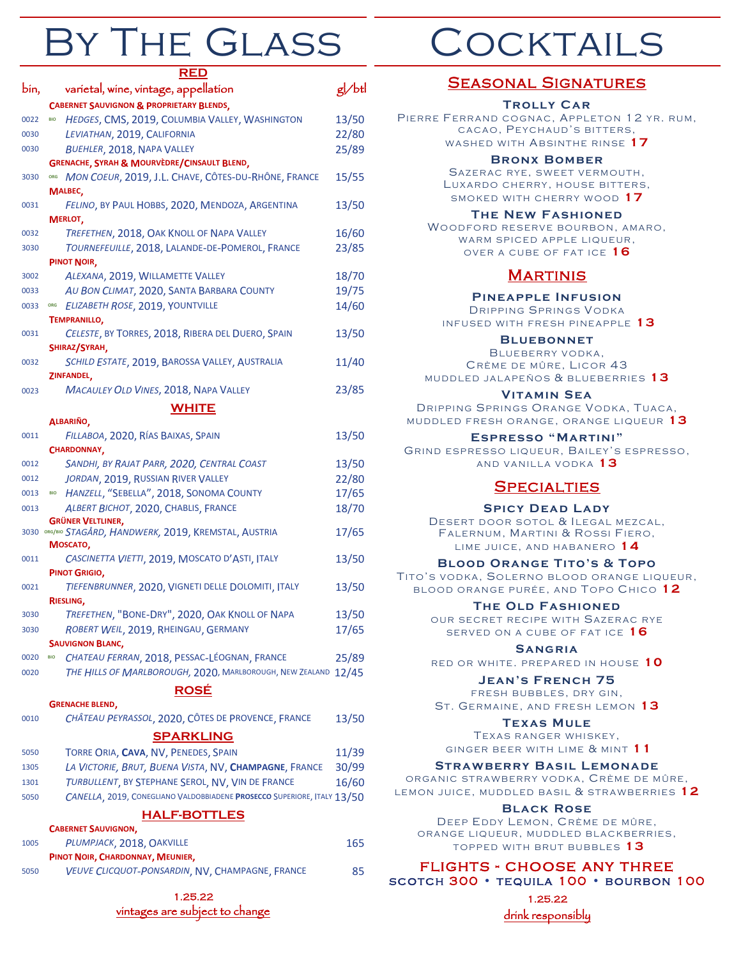# By The Glass

|      | <u>RED</u>                                                                            |       |
|------|---------------------------------------------------------------------------------------|-------|
| bin, | varietal, wine, vintage, appellation                                                  | g/btl |
|      | <b>CABERNET SAUVIGNON &amp; PROPRIETARY BLENDS,</b>                                   |       |
| 0022 | HEDGES, CMS, 2019, COLUMBIA VALLEY, WASHINGTON<br><b>BIO</b>                          | 13/50 |
| 0030 | LEVIATHAN, 2019, CALIFORNIA                                                           | 22/80 |
| 0030 | BUEHLER, 2018, NAPA VALLEY                                                            | 25/89 |
|      | GRENACHE, SYRAH & MOURVÈDRE/CINSAULT BLEND,                                           |       |
| 3030 | ORG MON COEUR, 2019, J.L. CHAVE, CÔTES-DU-RHÔNE, FRANCE                               | 15/55 |
|      | MALBEC,                                                                               |       |
| 0031 | FELINO, BY PAUL HOBBS, 2020, MENDOZA, ARGENTINA                                       | 13/50 |
|      | MERLOT,                                                                               |       |
| 0032 | TREFETHEN, 2018, OAK KNOLL OF NAPA VALLEY                                             | 16/60 |
| 3030 | TOURNEFEUILLE, 2018, LALANDE-DE-POMEROL, FRANCE                                       | 23/85 |
|      | PINOT NOIR,                                                                           |       |
| 3002 | ALEXANA, 2019, WILLAMETTE VALLEY                                                      | 18/70 |
| 0033 | AU BON CLIMAT, 2020, SANTA BARBARA COUNTY                                             | 19/75 |
| 0033 | ELIZABETH ROSE, 2019, YOUNTVILLE<br>ORG                                               | 14/60 |
|      | <b>TEMPRANILLO,</b>                                                                   |       |
| 0031 | CELESTE, BY TORRES, 2018, RIBERA DEL DUERO, SPAIN                                     | 13/50 |
|      | SHIRAZ/SYRAH,                                                                         |       |
| 0032 | SCHILD ESTATE, 2019, BAROSSA VALLEY, AUSTRALIA                                        | 11/40 |
|      | ZINFANDEL,                                                                            |       |
| 0023 | MACAULEY OLD VINES, 2018, NAPA VALLEY                                                 | 23/85 |
|      | <b>WHITE</b>                                                                          |       |
|      | ALBARIÑO,                                                                             |       |
| 0011 | FILLABOA, 2020, RÍAS BAIXAS, SPAIN                                                    | 13/50 |
|      | CHARDONNAY,                                                                           |       |
| 0012 | SANDHI, BY RAJAT PARR, 2020, CENTRAL COAST                                            | 13/50 |
| 0012 | JORDAN, 2019, RUSSIAN RIVER VALLEY                                                    | 22/80 |
| 0013 | HANZELL, "SEBELLA", 2018, SONOMA COUNTY<br><b>BIO</b>                                 | 17/65 |
| 0013 | ALBERT BICHOT, 2020, CHABLIS, FRANCE                                                  | 18/70 |
|      | <b>GRÜNER VELTLINER,</b>                                                              |       |
|      | 3030 ORG/BIO STAGÅRD, HANDWERK, 2019, KREMSTAL, AUSTRIA                               | 17/65 |
|      | MOSCATO,                                                                              |       |
| 0011 | CASCINETTA VIETTI, 2019, MOSCATO D'ASTI, ITALY                                        | 13/50 |
|      | PINOT GRIGIO,                                                                         |       |
| 0021 | TIEFENBRUNNER, 2020, VIGNETI DELLE DOLOMITI, ITALY                                    | 13/50 |
|      | RIESLING.<br>TREFETHEN, "BONE-DRY", 2020, OAK KNOLL OF NAPA                           |       |
| 3030 |                                                                                       | 13/50 |
| 3030 | ROBERT WEIL, 2019, RHEINGAU, GERMANY                                                  | 17/65 |
|      | <b>SAUVIGNON BLANC,</b><br>CHATEAU FERRAN, 2018, PESSAC-LÉOGNAN, FRANCE<br><b>BIO</b> |       |
| 0020 |                                                                                       | 25/89 |
| 0020 | THE HILLS OF MARLBOROUGH, 2020, MARLBOROUGH, NEW ZEALAND 12/45                        |       |
|      | <b>ROSÉ</b>                                                                           |       |
|      | <b>GRENACHE BLEND,</b>                                                                |       |
| 0010 | CHÂTEAU PEYRASSOL, 2020, CÔTES DE PROVENCE, FRANCE                                    | 13/50 |
|      | <b>SPARKLING</b>                                                                      |       |
| 5050 | TORRE ORIA, CAVA, NV, PENEDES, SPAIN                                                  | 11/39 |
| 1305 | LA VICTORIE, BRUT, BUENA VISTA, NV, CHAMPAGNE, FRANCE                                 | 30/99 |
| 1301 | TURBULLENT, BY STEPHANE SEROL, NV, VIN DE FRANCE                                      | 16/60 |
| 5050 | CANELLA, 2019, CONEGLIANO VALDOBBIADENE PROSECCO SUPERIORE, ITALY 13/50               |       |
|      | <b>HALF-BOTTLES</b>                                                                   |       |
|      | <b>CABERNET SAUVIGNON,</b>                                                            |       |
| 1005 | PLUMPJACK, 2018, OAKVILLE                                                             | 165   |
|      | PINOT NOIR, CHARDONNAY, MEUNIER,                                                      |       |
| 5050 | VEUVE CLICQUOT-PONSARDIN, NV, CHAMPAGNE, FRANCE                                       | 85    |
|      |                                                                                       |       |
|      | 1.25.22                                                                               |       |

vintages are subject to change

**OCKTAILS** 

#### Seasonal Signatures **Trolly Car** PIERRE FERRAND COGNAC, APPLETON 12 YR. RUM, CACAO, PEYCHAUD'S BITTERS, WASHED WITH ABSINTHE RINSE <sup>17</sup> **Bronx Bomber** SAZERAC RYE, SWEET VERMOUTH, LUXARDO CHERRY, HOUSE BITTERS, SMOKED WITH CHERRY WOOD <sup>17</sup> **The New Fashioned** WOODFORD RESERVE BOURBON, AMARO, WARM SPICED APPLE LIQUEUR, OVER A CUBE OF FAT ICE <sup>16</sup> **MARTINIS Pineapple Infusion** DRIPPING SPRINGS VODKA INFUSED WITH FRESH PINEAPPLE <sup>13</sup> **BLUEBONNET** BLUEBERRY VODKA, CRÈME DE MÛRE, LICOR 43 MUDDLED JALAPEÑOS & BLUEBERRIES <sup>13</sup> **Vitamin Sea** DRIPPING SPRINGS ORANGE VODKA, TUACA, MUDDLED FRESH ORANGE, ORANGE LIQUEUR<sup>13</sup> **Espresso "Martini"** GRIND ESPRESSO LIQUEUR, BAILEY'S ESPRESSO. AND VANILLA VODKA<sup>13</sup> **SPECIALTIES SPICY DEAD LADY** DESERT DOOR SOTOL & ILEGAL MEZCAL. FALERNUM, MARTINI & ROSSI FIERO, LIME JUICE, AND HABANERO<sup>14</sup> **Blood Orange Tito's & Topo** TITO'S VODKA, SOLERNO BLOOD ORANGE LIQUEUR, BLOOD ORANGE PURÉE, AND TOPO CHICO 12 **The Old Fashioned** OUR SECRET RECIPE WITH SAZERAC RYE SERVED ON A CUBE OF FAT ICE <sup>16</sup> **Sangria** RED OR WHITE. PREPARED IN HOUSE 10 **Jean's French 75** FRESH BUBBLES, DRY GIN, ST. GERMAINE, AND FRESH LEMON <sup>13</sup> **Texas Mule** TEXAS RANGER WHISKEY. GINGER BEER WITH LIME & MINT <sup>1</sup>1 **Strawberry Basil Lemonade** ORGANIC STRAWBERRY VODKA, CRÈME DE MÛRE, LEMON JUICE, MUDDLED BASIL & STRAWBERRIES <sup>12</sup> **Black Rose** DEEP EDDY LEMON, CRÈME DE MÛRE, ORANGE LIQUEUR, MUDDLED BLACKBERRIES,

TOPPED WITH BRUT BUBBLES <sup>13</sup>

#### flights - choose any three scotch 300 • tequila 100 • bourbon 100

1.25.22 drink responsibly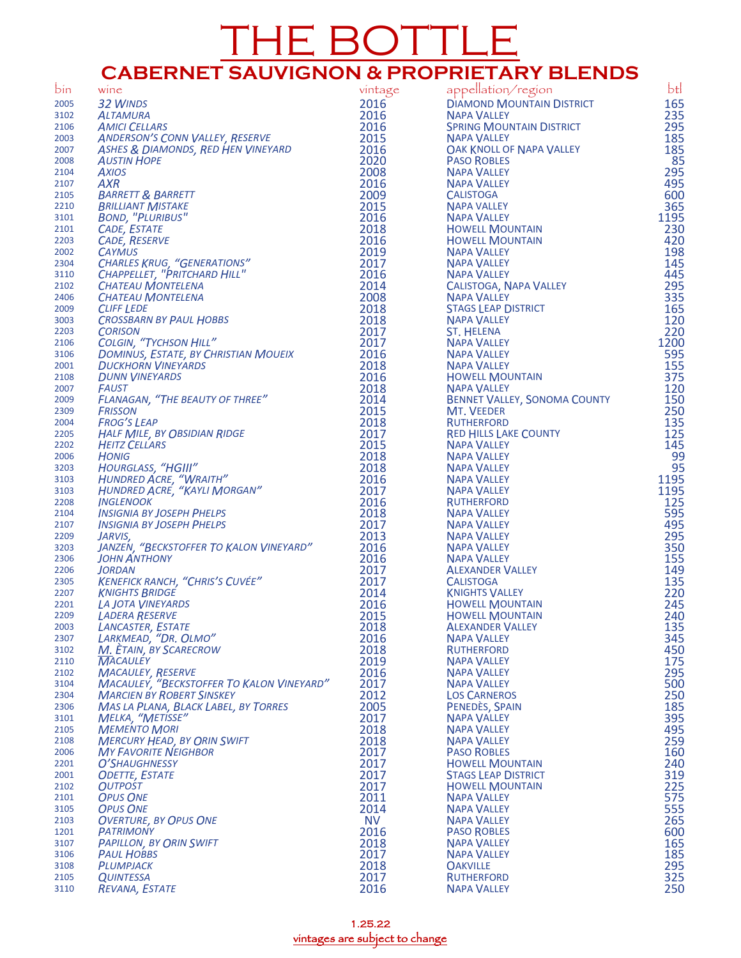## THE BOTTLE **CABERNET SAUVIGNON & PROPRIETARY BLENDS**

| bin          | wine                                                              | vintage      | appellation/region                                | btl        |
|--------------|-------------------------------------------------------------------|--------------|---------------------------------------------------|------------|
| 2005         | 32 WINDS                                                          | 2016         | <b>DIAMOND MOUNTAIN DISTRICT</b>                  | 165        |
| 3102         | <b>ALTAMURA</b>                                                   | 2016         | <b>NAPA VALLEY</b>                                | 235        |
| 2106         | <b>AMICI CELLARS</b>                                              | 2016         | <b>SPRING MOUNTAIN DISTRICT</b>                   | 295        |
| 2003         | <b>ANDERSON'S CONN VALLEY, RESERVE</b>                            | 2015         | <b>NAPA VALLEY</b>                                | 185        |
| 2007         | ASHES & DIAMONDS, RED HEN VINEYARD                                | 2016         | OAK KNOLL OF NAPA VALLEY                          | 185        |
| 2008         | <b>AUSTIN HOPE</b>                                                | 2020         | <b>PASO ROBLES</b>                                | 85         |
| 2104         | <b>AXIOS</b>                                                      | 2008         | <b>NAPA VALLEY</b>                                | 295        |
| 2107         | <b>AXR</b>                                                        | 2016         | <b>NAPA VALLEY</b>                                | 495        |
| 2105         | <b>BARRETT &amp; BARRETT</b>                                      | 2009         | <b>CALISTOGA</b>                                  | 600        |
| 2210         | <b>BRILLIANT MISTAKE</b>                                          | 2015         | <b>NAPA VALLEY</b>                                | 365        |
| 3101         | <b>BOND, "PLURIBUS"</b>                                           | 2016         | <b>NAPA VALLEY</b>                                | 1195       |
| 2101         | CADE, ESTATE                                                      | 2018         | <b>HOWELL MOUNTAIN</b>                            | 230        |
| 2203<br>2002 | <b>CADE, RESERVE</b><br><b>CAYMUS</b>                             | 2016<br>2019 | <b>HOWELL MOUNTAIN</b><br><b>NAPA VALLEY</b>      | 420<br>198 |
| 2304         | <b>CHARLES KRUG, "GENERATIONS"</b>                                | 2017         | <b>NAPA VALLEY</b>                                | 145        |
| 3110         | CHAPPELLET, "PRITCHARD HILL"                                      | 2016         | <b>NAPA VALLEY</b>                                | 445        |
| 2102         | <b>CHATEAU MONTELENA</b>                                          | 2014         | CALISTOGA, NAPA VALLEY                            | 295        |
| 2406         | <b>CHATEAU MONTELENA</b>                                          | 2008         | <b>NAPA VALLEY</b>                                | 335        |
| 2009         | <b>CLIFF LEDE</b>                                                 | 2018         | <b>STAGS LEAP DISTRICT</b>                        | 165        |
| 3003         | <b>CROSSBARN BY PAUL HOBBS</b>                                    | 2018         | <b>NAPA VALLEY</b>                                | 120        |
| 2203         | <b>CORISON</b>                                                    | 2017         | <b>ST. HELENA</b>                                 | 220        |
| 2106         | <b>COLGIN, "TYCHSON HILL"</b>                                     | 2017         | <b>NAPA VALLEY</b>                                | 1200       |
| 3106         | DOMINUS, ESTATE, BY CHRISTIAN MOUEIX                              | 2016         | <b>NAPA VALLEY</b>                                | 595        |
| 2001         | <b>DUCKHORN VINEYARDS</b>                                         | 2018         | <b>NAPA VALLEY</b>                                | 155        |
| 2108         | <b>DUNN VINEYARDS</b>                                             | 2016         | <b>HOWELL MOUNTAIN</b>                            | 375        |
| 2007         | <b>FAUST</b>                                                      | 2018         | <b>NAPA VALLEY</b>                                | 120        |
| 2009         | FLANAGAN, "THE BEAUTY OF THREE"                                   | 2014         | <b>BENNET VALLEY, SONOMA COUNTY</b>               | 150        |
| 2309         | <b>FRISSON</b><br><b>FROG'S LEAP</b>                              | 2015<br>2018 | <b>MT. VEEDER</b>                                 | 250<br>135 |
| 2004<br>2205 | <b>HALF MILE, BY OBSIDIAN RIDGE</b>                               | 2017         | <b>RUTHERFORD</b><br><b>RED HILLS LAKE COUNTY</b> | 125        |
| 2202         | <b>HEITZ CELLARS</b>                                              | 2015         | <b>NAPA VALLEY</b>                                | 145        |
| 2006         | <b>HONIG</b>                                                      | 2018         | <b>NAPA VALLEY</b>                                | 99         |
| 3203         | HOURGLASS, "HGIII"                                                | 2018         | <b>NAPA VALLEY</b>                                | 95         |
| 3103         | HUNDRED ACRE, "WRAITH"                                            | 2016         | <b>NAPA VALLEY</b>                                | 1195       |
| 3103         | HUNDRED ACRE, "KAYLI MORGAN"                                      | 2017         | <b>NAPA VALLEY</b>                                | 1195       |
| 2208         | <b>INGLENOOK</b>                                                  | 2016         | <b>RUTHERFORD</b>                                 | 125        |
| 2104         | <b>INSIGNIA BY JOSEPH PHELPS</b>                                  | 2018         | <b>NAPA VALLEY</b>                                | 595        |
| 2107         | <b>INSIGNIA BY JOSEPH PHELPS</b>                                  | 2017         | <b>NAPA VALLEY</b>                                | 495        |
| 2209         | JARVIS,                                                           | 2013         | <b>NAPA VALLEY</b>                                | 295        |
| 3203         | JANZEN, "BECKSTOFFER TO KALON VINEYARD"                           | 2016         | <b>NAPA VALLEY</b>                                | 350        |
| 2306         | <b>JOHN ANTHONY</b>                                               | 2016         | <b>NAPA VALLEY</b>                                | 155        |
| 2206         | <b>JORDAN</b><br>KENEFICK RANCH, "CHRIS'S CUVÉE"                  | 2017         | <b>ALEXANDER VALLEY</b>                           | 149        |
| 2305<br>2207 | <b>KNIGHTS BRIDGE</b>                                             | 2017<br>2014 | <b>CALISTOGA</b><br><b>KNIGHTS VALLEY</b>         | 135<br>220 |
| 2201         | <b>LA JOTA VINEYARDS</b>                                          | 2016         | <b>HOWELL MOUNTAIN</b>                            | 245        |
| 2209         | <b>LADERA RESERVE</b>                                             | 2015         | <b>HOWELL MOUNTAIN</b>                            | 240        |
| 2003         | LANCASTER, ESTATE                                                 | 2018         | <b>ALEXANDER VALLEY</b>                           | 135        |
| 2307         | LARKMEAD, "DR. OLMO"                                              | 2016         | <b>NAPA VALLEY</b>                                | 345        |
| 3102         | M. ETAIN, BY SCARECROW                                            | 2018         | <b>RUTHERFORD</b>                                 | 450        |
| 2110         | <b>MACAULEY</b>                                                   | 2019         | <b>NAPA VALLEY</b>                                | 175        |
| 2102         | <b>MACAULEY, RESERVE</b>                                          | 2016         | <b>NAPA VALLEY</b>                                | 295        |
| 3104         | <b>MACAULEY, "BECKSTOFFER TO KALON VINEYARD"</b>                  | 2017         | <b>NAPA VALLEY</b>                                | 500        |
| 2304         | <b>MARCIEN BY ROBERT SINSKEY</b>                                  | 2012         | <b>LOS CARNEROS</b>                               | 250        |
| 2306         | <b>MAS LA PLANA, BLACK LABEL, BY TORRES</b>                       | 2005         | PENEDÈS, SPAIN                                    | 185        |
| 3101         | <b>MELKA, "METISSE"</b>                                           | 2017         | <b>NAPA VALLEY</b>                                | 395        |
| 2105         | <b>MEMENTO MORI</b>                                               | 2018         | <b>NAPA VALLEY</b>                                | 495        |
| 2108         | <b>MERCURY HEAD, BY ORIN SWIFT</b><br><b>MY FAVORITE NEIGHBOR</b> | 2018         | <b>NAPA VALLEY</b><br><b>PASO ROBLES</b>          | 259        |
| 2006<br>2201 | O'SHAUGHNESSY                                                     | 2017<br>2017 | <b>HOWELL MOUNTAIN</b>                            | 160<br>240 |
| 2001         | <b>ODETTE, ESTATE</b>                                             | 2017         | <b>STAGS LEAP DISTRICT</b>                        | 319        |
| 2102         | <b>OUTPOST</b>                                                    | 2017         | <b>HOWELL MOUNTAIN</b>                            | 225        |
| 2101         | <b>OPUS ONE</b>                                                   | 2011         | <b>NAPA VALLEY</b>                                | 575        |
| 3105         | <b>OPUS ONE</b>                                                   | 2014         | <b>NAPA VALLEY</b>                                | 555        |
| 2103         | <b>OVERTURE, BY OPUS ONE</b>                                      | <b>NV</b>    | <b>NAPA VALLEY</b>                                | 265        |
| 1201         | <b>PATRIMONY</b>                                                  | 2016         | <b>PASO ROBLES</b>                                | 600        |
| 3107         | <b>PAPILLON, BY ORIN SWIFT</b>                                    | 2018         | <b>NAPA VALLEY</b>                                | 165        |
| 3106         | <b>PAUL HOBBS</b>                                                 | 2017         | <b>NAPA VALLEY</b>                                | 185        |
| 3108         | PLUMPJACK                                                         | 2018         | <b>OAKVILLE</b>                                   | 295        |
| 2105         | <b>QUINTESSA</b>                                                  | 2017         | <b>RUTHERFORD</b>                                 | 325        |
| 3110         | REVANA, ESTATE                                                    | 2016         | <b>NAPA VALLEY</b>                                | 250        |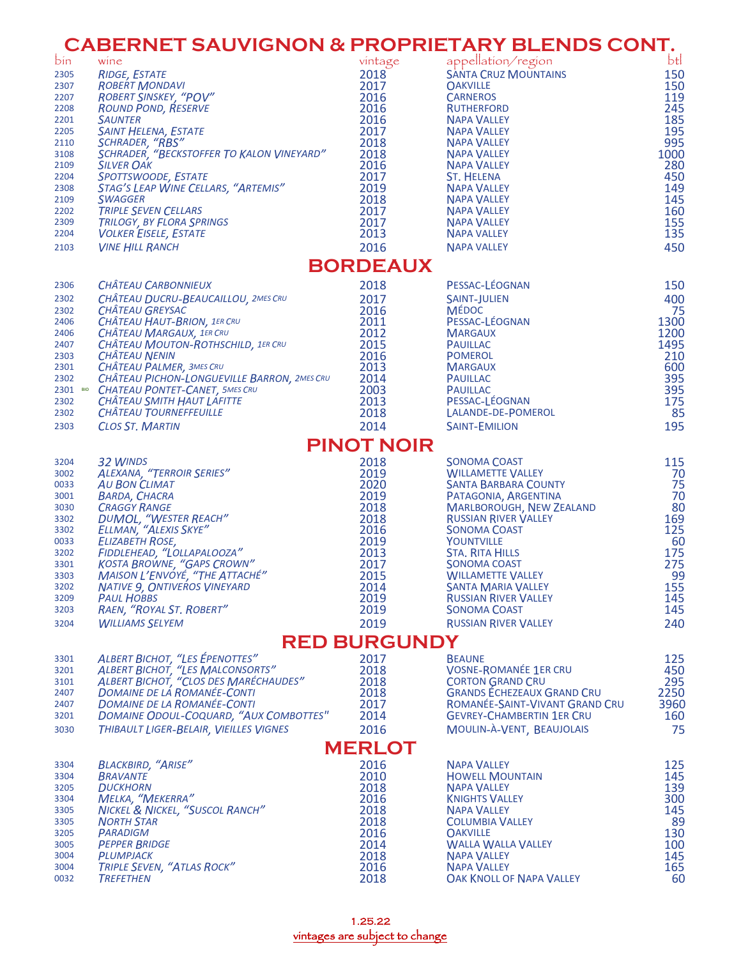|              | <b>CABERNET SAUVIGNON &amp; PROPRIETARY BLENDS CONT.</b>                    |                     |                                                              |                 |
|--------------|-----------------------------------------------------------------------------|---------------------|--------------------------------------------------------------|-----------------|
| bin          | wine                                                                        | vintage             | appellation/region                                           | bt <sup>2</sup> |
| 2305         | <b>RIDGE, ESTATE</b>                                                        | 2018                | <b>SÁNTA CRUZ MOUNTAINS</b>                                  | 150             |
| 2307         | <b>ROBERT MONDAVI</b>                                                       | 2017                | <b>OAKVILLE</b>                                              | 150             |
| 2207         | ROBERT SINSKEY, "POV"                                                       | 2016                | <b>CARNEROS</b>                                              | 119             |
| 2208         | <b>ROUND POND, RESERVE</b>                                                  | 2016                | <b>RUTHERFORD</b>                                            | 245             |
| 2201         | <b>SAUNTER</b>                                                              | 2016                | <b>NAPA VALLEY</b>                                           | 185             |
| 2205         | SAINT HELENA, ESTATE                                                        | 2017                | <b>NAPA VALLEY</b>                                           | 195             |
| 2110         | SCHRADER, "RBS"                                                             | 2018                | <b>NAPA VALLEY</b>                                           | 995             |
| 3108         | SCHRADER, "BECKSTOFFER TO KALON VINEYARD"                                   | 2018                | <b>NAPA VALLEY</b>                                           | 1000            |
| 2109         | <b>SILVER OAK</b>                                                           | 2016<br>2017        | <b>NAPA VALLEY</b><br><b>ST. HELENA</b>                      | 280<br>450      |
| 2204<br>2308 | SPOTTSWOODE, ESTATE<br>STAG'S LEAP WINE CELLARS, "ARTEMIS"                  | 2019                | <b>NAPA VALLEY</b>                                           | 149             |
| 2109         | <b>SWAGGER</b>                                                              | 2018                | <b>NAPA VALLEY</b>                                           | 145             |
| 2202         | <b>TRIPLE SEVEN CELLARS</b>                                                 | 2017                | <b>NAPA VALLEY</b>                                           | 160             |
| 2309         | <b>TRILOGY, BY FLORA SPRINGS</b>                                            | 2017                | <b>NAPA VALLEY</b>                                           | 155             |
| 2204         | <b>VOLKER EISELE, ESTATE</b>                                                | 2013                | <b>NAPA VALLEY</b>                                           | 135             |
| 2103         | <b>VINE HILL RANCH</b>                                                      | 2016                | <b>NAPA VALLEY</b>                                           | 450             |
|              |                                                                             | <b>BORDEAUX</b>     |                                                              |                 |
| 2306         | <b>CHÂTEAU CARBONNIEUX</b>                                                  | 2018                | PESSAC-LÉOGNAN                                               | 150             |
| 2302         | CHÂTEAU DUCRU-BEAUCAILLOU, 2MES CRU                                         | 2017                | <b>SAINT-JULIEN</b>                                          | 400             |
| 2302         | <b>CHÂTEAU GREYSAC</b>                                                      | 2016                | <b>MÉDOC</b>                                                 | 75              |
| 2406         | CHÂTEAU HAUT-BRION, 1ER CRU                                                 | 2011                | PESSAC-LÉOGNAN                                               | 1300            |
| 2406         | <b>CHÂTEAU MARGAUX, 1ER CRU</b>                                             | 2012                | <b>MARGAUX</b>                                               | 1200            |
| 2407         | CHÂTEAU MOUTON-ROTHSCHILD, 1ER CRU                                          | 2015                | <b>PAUILLAC</b>                                              | 1495            |
| 2303         | <b>CHÂTEAU NENIN</b>                                                        | 2016                | <b>POMEROL</b>                                               | 210             |
| 2301         | CHÂTEAU PALMER, 3MES CRU<br>CHÂTEAU PICHON-LONGUEVILLE BARRON, 2MES CRU     | 2013                | <b>MARGAUX</b>                                               | 600             |
| 2302         | 2301 BIO CHATEAU PONTET-CANET, 5MES CRU                                     | 2014<br>2003        | <b>PAUILLAC</b><br>PAUILLAC                                  | 395<br>395      |
| 2302         | CHÂTEAU SMITH HAUT LAFITTE                                                  | 2013                | PESSAC-LÉOGNAN                                               | 175             |
| 2302         | <b>CHÂTEAU TOURNEFFEUILLE</b>                                               | 2018                | LALANDE-DE-POMEROL                                           | 85              |
| 2303         | <b>CLOS ST. MARTIN</b>                                                      | 2014                | <b>SAINT-EMILION</b>                                         | 195             |
|              |                                                                             | <b>PINOT NOIR</b>   |                                                              |                 |
|              |                                                                             |                     |                                                              |                 |
| 3204         | 32 WINDS<br><b>ALEXANA, "TERROIR SERIES"</b>                                | 2018                | <b>SONOMA COAST</b><br><b>WILLAMETTE VALLEY</b>              | 115             |
| 3002<br>0033 | <b>AU BON CLIMAT</b>                                                        | 2019<br>2020        | <b>SANTA BARBARA COUNTY</b>                                  | 70<br>75        |
| 3001         | <b>BARDA, CHACRA</b>                                                        | 2019                | PATAGONIA, ARGENTINA                                         | 70              |
| 3030         | <b>CRAGGY RANGE</b>                                                         | 2018                | <b>MARLBOROUGH, NEW ZEALAND</b>                              | 80              |
| 3302         |                                                                             | 2018                | <b>RUSSIAN RIVER VALLEY</b>                                  |                 |
| 3302         | DUMOL, "WESTER REACH"<br>ELLMAN, "ALEXIS SKYE"                              | 2016                | <b>SONOMA COAST</b>                                          | 169<br>125      |
| 0033         | <b>ELIZABETH ROSE,</b>                                                      | 2019                | YOUNTVILLE                                                   | 60              |
| 3202         | FIDDLEHEAD, "LOLLAPALOOZA"                                                  | 2013                | <b>STA. RITA HILLS</b>                                       | 175             |
| 3301         | KOSTA BROWNE, "GAPS CROWN"                                                  | 2017                | SONOMA COAST                                                 | 275             |
| 3303         | MAISON L'ENVOYÉ, "THE ATTACHÉ"                                              | 2015                | <b>WILLAMETTE VALLEY</b>                                     | 99              |
| 3202         | <b>NATIVE 9, ONTIVEROS VINEYARD</b>                                         | 2014                | <b>SANTA MARIA VALLEY</b>                                    | 155             |
| 3209         | <b>PAUL HOBBS</b>                                                           | 2019                | <b>RUSSIAN RIVER VALLEY</b>                                  | 145             |
| 3203         | RAEN, "ROYAL ST. ROBERT"                                                    | 2019                | <b>SONOMA COAST</b>                                          | 145             |
| 3204         | <b>WILLIAMS SELYEM</b>                                                      | 2019                | <b>RUSSIAN RIVER VALLEY</b>                                  | 240             |
|              |                                                                             | <b>RED BURGUNDY</b> |                                                              |                 |
| 3301         | <b>ALBERT BICHOT, "LES ÉPENOTTES"</b>                                       | 2017                | <b>BEAUNE</b>                                                | 125             |
| 3201         | <b>ALBERT BICHOT, "LES MALCONSORTS"</b>                                     | 2018                | <b>VOSNE-ROMANÉE 1ER CRU</b>                                 | 450             |
| 3101         | ALBERT BICHOT, "CLOS DES MARÉCHAUDES"<br><b>DOMAINE DE LA ROMANÉE-CONTI</b> | 2018<br>2018        | <b>CORTON GRAND CRU</b><br><b>GRANDS ECHEZEAUX GRAND CRU</b> | 295<br>2250     |
| 2407<br>2407 | <b>DOMAINE DE LA ROMANÉE-CONTI</b>                                          | 2017                | ROMANÉE-SAINT-VIVANT GRAND CRU                               | 3960            |
| 3201         | DOMAINE ODOUL-COQUARD, "AUX COMBOTTES"                                      | 2014                | <b>GEVREY-CHAMBERTIN 1ER CRU</b>                             | 160             |
| 3030         | THIBAULT LIGER-BELAIR, VIEILLES VIGNES                                      | 2016                | MOULIN-À-VENT, BEAUJOLAIS                                    | 75              |
|              |                                                                             | <b>MERLOT</b>       |                                                              |                 |
| 3304         | <b>BLACKBIRD, "ARISE"</b>                                                   | 2016                | <b>NAPA VALLEY</b>                                           | 125             |
| 3304         | <b>BRAVANTE</b>                                                             | 2010                | <b>HOWELL MOUNTAIN</b>                                       | 145             |
| 3205         | <b>DUCKHORN</b>                                                             | 2018                | <b>NAPA VALLEY</b>                                           | 139             |
| 3304         | <b>MELKA, "MEKERRA"</b>                                                     | 2016                | <b>KNIGHTS VALLEY</b>                                        | 300             |
| 3305         | NICKEL & NICKEL, "SUSCOL RANCH"                                             | 2018                | <b>NAPA VALLEY</b>                                           | 145             |
| 3305         | <b>NORTH STAR</b>                                                           | 2018                | <b>COLUMBIA VALLEY</b>                                       | 89              |
| 3205         | <b>PARADIGM</b>                                                             | 2016                | <b>OAKVILLE</b>                                              | 130             |
| 3005         | <b>PEPPER BRIDGE</b>                                                        | 2014                | <b>WALLA WALLA VALLEY</b>                                    | 100             |
| 3004         | PLUMPJACK                                                                   | 2018                | <b>NAPA VALLEY</b>                                           | 145             |
| 3004<br>0032 | <b>TRIPLE SEVEN, "ATLAS ROCK"</b>                                           | 2016                | <b>NAPA VALLEY</b>                                           | 165             |
|              | <b>TREFETHEN</b>                                                            | 2018                | <b>OAK KNOLL OF NAPA VALLEY</b>                              | 60              |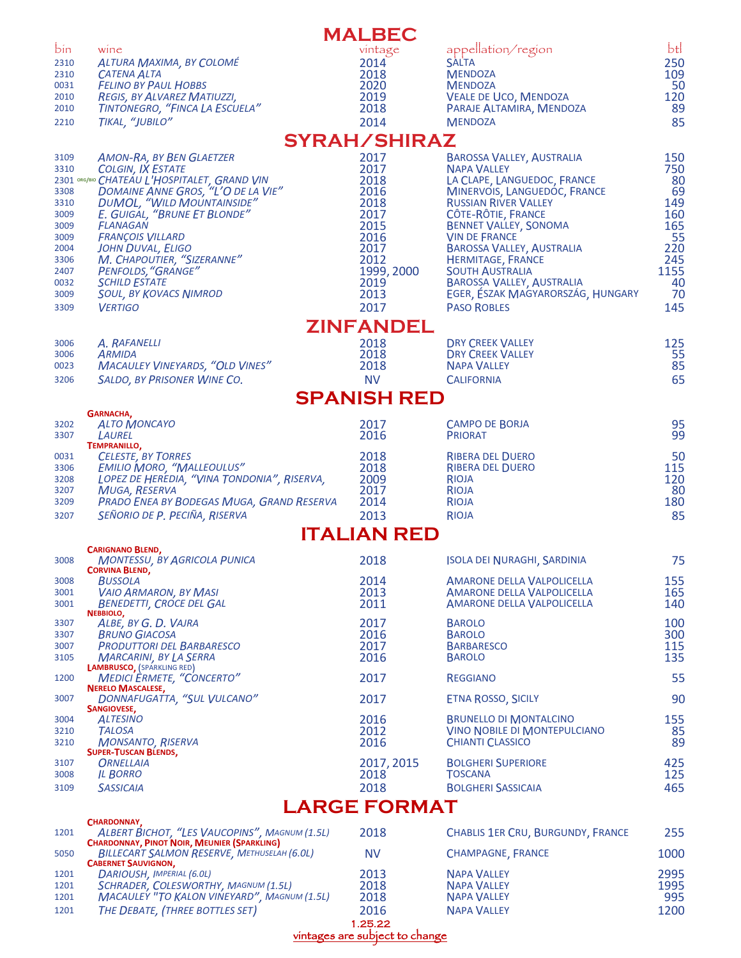|              |                                                                                                          | <b>MALBEC</b>       |                                                                |             |
|--------------|----------------------------------------------------------------------------------------------------------|---------------------|----------------------------------------------------------------|-------------|
| bin          | wine                                                                                                     | vintage             | appellation/region                                             | btl         |
| 2310         | ALTURA MAXIMA, BY COLOMÉ                                                                                 | 2014                | <b>SALTA</b>                                                   | 250         |
| 2310         | <b>CATENA ALTA</b>                                                                                       | 2018                | <b>MENDOZA</b>                                                 | 109         |
| 0031<br>2010 | <b>FELINO BY PAUL HOBBS</b><br>REGIS, BY ALVAREZ MATIUZZI,                                               | 2020<br>2019        | <b>MENDOZA</b><br>VEALE DE UCO, MENDOZA                        | 50<br>120   |
| 2010         | TINTONEGRO, "FINCA LA ESCUELA"                                                                           | 2018                | PARAJE ALTAMIRA, MENDOZA                                       | 89          |
| 2210         | TIKAL, "JUBILO"                                                                                          | 2014                | <b>MENDOZA</b>                                                 | 85          |
|              |                                                                                                          | <b>SYRAH/SHIRAZ</b> |                                                                |             |
| 3109         | <b>AMON-RA, BY BEN GLAETZER</b>                                                                          | 2017                | <b>BAROSSA VALLEY, AUSTRALIA</b>                               | 150         |
| 3310         | <b>COLGIN, IX ESTATE</b>                                                                                 | 2017                | <b>NAPA VALLEY</b>                                             | 750         |
| 3308         | 2301 ORG/BIO CHATEAU L'HOSPITALET, GRAND VIN<br>DOMAINE ANNE GROS, "L'O DE LA VIE"                       | 2018<br>2016        | LA CLAPE, LANGUEDOC, FRANCE<br>MINERVOIS, LANGUEDOC, FRANCE    | 80<br>69    |
| 3310         | <b>DUMOL, "WILD MOUNTAINSIDE"</b>                                                                        | 2018                | <b>RUSSIAN RIVER VALLEY</b>                                    | 149         |
| 3009         | E. GUIGAL, "BRUNE ET BLONDE"                                                                             | 2017                | CÔTE-RÔTIE, FRANCE                                             | 160         |
| 3009         | FLANAGAN                                                                                                 | 2015                | <b>BENNET VALLEY, SONOMA</b>                                   | 165         |
| 3009<br>2004 | <b>FRANÇOIS VILLARD</b><br><b>JOHN DUVAL, ELIGO</b>                                                      | 2016<br>2017        | <b>VIN DE FRANCE</b><br><b>BAROSSA VALLEY, AUSTRALIA</b>       | 55<br>220   |
| 3306         | M. CHAPOUTIER, "SIZERANNE"                                                                               | 2012                | <b>HERMITAGE, FRANCE</b>                                       | 245         |
| 2407         | PENFOLDS, "GRANGE"                                                                                       | 1999, 2000          | <b>SOUTH AUSTRALIA</b>                                         | 1155        |
| 0032         | <b>SCHILD ESTATE</b>                                                                                     | 2019                | BAROSSA VALLEY, AUSTRALIA                                      | 40          |
| 3009<br>3309 | <b>SOUL, BY KOVACS NIMROD</b><br><b>VERTIGO</b>                                                          | 2013<br>2017        | EGER, ESZAK MAGYARORSZÁG, HUNGARY<br><b>PASO ROBLES</b>        | 70<br>145   |
|              |                                                                                                          | <b>ZINFANDEL</b>    |                                                                |             |
| 3006         | A. RAFANELLI                                                                                             | 2018                | <b>DRY CREEK VALLEY</b>                                        | 125         |
| 3006         | ARMIDA                                                                                                   | 2018                | <b>DRY CREEK VALLEY</b>                                        | 55          |
| 0023         | <b>MACAULEY VINEYARDS, "OLD VINES"</b>                                                                   | 2018                | <b>NAPA VALLEY</b>                                             | 85          |
| 3206         | SALDO, BY PRISONER WINE CO.                                                                              | <b>NV</b>           | <b>CALIFORNIA</b>                                              | 65          |
|              |                                                                                                          | <b>SPANISH RED</b>  |                                                                |             |
|              | GARNACHA,                                                                                                |                     |                                                                |             |
| 3202<br>3307 | <b>ALTO MONCAYO</b><br>LAUREL                                                                            | 2017<br>2016        | <b>CAMPO DE BORJA</b><br><b>PRIORAT</b>                        | 95<br>99    |
|              | <b>TEMPRANILLO,</b>                                                                                      |                     |                                                                |             |
| 0031         | <b>CELESTE, BY TORRES</b><br><b>EMILIO MORO, "MALLEOULUS"</b>                                            | 2018                | <b>RIBERA DEL DUERO</b>                                        | 50          |
| 3306<br>3208 | LOPEZ DE HEREDIA, "VINA TONDONIA", RISERVA,                                                              | 2018<br>2009        | <b>RIBERA DEL DUERO</b><br>RIOJA                               | 115<br>120  |
| 3207         | <b>MUGA, RESERVA</b>                                                                                     | 2017                | RIOJA                                                          | 80          |
| 3209         | PRADO ENEA BY BODEGAS MUGA, GRAND RESERVA                                                                | 2014                | <b>RIOJA</b>                                                   | 180         |
| 3207         | SEÑORIO DE P. PECIÑA, RISERVA                                                                            | 2013                | RIOJA                                                          | 85          |
|              | <b>CARIGNANO BLEND,</b>                                                                                  | <b>ITALIAN RED</b>  |                                                                |             |
| 3008         | <b>MONTESSU, BY AGRICOLA PUNICA</b>                                                                      | 2018                | <b>ISOLA DEI NURAGHI, SARDINIA</b>                             | 75          |
|              | <b>CORVINA BLEND,</b><br><b>BUSSOLA</b>                                                                  | 2014                | <b>AMARONE DELLA VALPOLICELLA</b>                              | 155         |
| 3008<br>3001 | <b>VAIO ARMARON, BY MASI</b>                                                                             | 2013                | <b>AMARONE DELLA VALPOLICELLA</b>                              | 165         |
| 3001         | <b>BENEDETTI, CROCE DEL GAL</b>                                                                          | 2011                | <b>AMARONE DELLA VALPOLICELLA</b>                              | 140         |
| 3307         | NEBBIOLO,<br>ALBE, BY G. D. VAJRA                                                                        | 2017                | <b>BAROLO</b>                                                  | 100         |
| 3307         | <b>BRUNO GIACOSA</b>                                                                                     | 2016                | <b>BAROLO</b>                                                  | 300         |
| 3007         | <b>PRODUTTORI DEL BARBARESCO</b>                                                                         | 2017                | <b>BARBARESCO</b>                                              | 115         |
| 3105         | <b>MARCARINI, BY LA SERRA</b><br><b>LAMBRUSCO, (SPARKLING RED)</b>                                       | 2016                | <b>BAROLO</b>                                                  | 135         |
| 1200         | <b>MEDICI ERMETE, "CONCERTO"</b>                                                                         | 2017                | <b>REGGIANO</b>                                                | 55          |
| 3007         | <b>NERELO MASCALESE,</b><br>DONNAFUGATTA, "SUL VULCANO"                                                  | 2017                | <b>ETNA ROSSO, SICILY</b>                                      | 90          |
|              | SANGIOVESE,                                                                                              |                     |                                                                |             |
| 3004         | <b>ALTESINO</b>                                                                                          | 2016                | <b>BRUNELLO DI MONTALCINO</b>                                  | 155         |
| 3210<br>3210 | <b>TALOSA</b><br><b>MONSANTO, RISERVA</b>                                                                | 2012<br>2016        | <b>VINO NOBILE DI MONTEPULCIANO</b><br><b>CHIANTI CLASSICO</b> | 85<br>89    |
|              | <b>SUPER-TUSCAN BLENDS,</b>                                                                              |                     |                                                                |             |
| 3107         | <b>ORNELLAIA</b>                                                                                         | 2017, 2015          | <b>BOLGHERI SUPERIORE</b>                                      | 425         |
| 3008         | <b>IL BORRO</b>                                                                                          | 2018                | <b>TOSCANA</b>                                                 | 125         |
| 3109         | <b>SASSICAIA</b>                                                                                         | 2018                | <b>BOLGHERI SASSICAIA</b>                                      | 465         |
|              | CHARDONNAY,                                                                                              | <b>LARGE FORMAT</b> |                                                                |             |
| 1201         | ALBERT BICHOT, "LES VAUCOPINS", MAGNUM (1.5L)                                                            | 2018                | <b>CHABLIS 1ER CRU, BURGUNDY, FRANCE</b>                       | 255         |
| 5050         | <b>CHARDONNAY, PINOT NOIR, MEUNIER (SPARKLING)</b><br><b>BILLECART SALMON RESERVE, METHUSELAH (6.0L)</b> | <b>NV</b>           | <b>CHAMPAGNE, FRANCE</b>                                       | 1000        |
|              | <b>CABERNET SAUVIGNON,</b>                                                                               |                     |                                                                |             |
| 1201         | DARIOUSH, IMPERIAL (6.0L)                                                                                | 2013                | <b>NAPA VALLEY</b>                                             | 2995        |
| 1201<br>1201 | SCHRADER, COLESWORTHY, MAGNUM (1.5L)<br><b>MACAULEY "TO KALON VINEYARD", MAGNUM (1.5L)</b>               | 2018<br>2018        | <b>NAPA VALLEY</b><br><b>NAPA VALLEY</b>                       | 1995<br>995 |
| 1201         | THE DEBATE, (THREE BOTTLES SET)                                                                          | 2016                | <b>NAPA VALLEY</b>                                             | 1200        |
|              |                                                                                                          | 1.25.22             |                                                                |             |

vintages are subject to change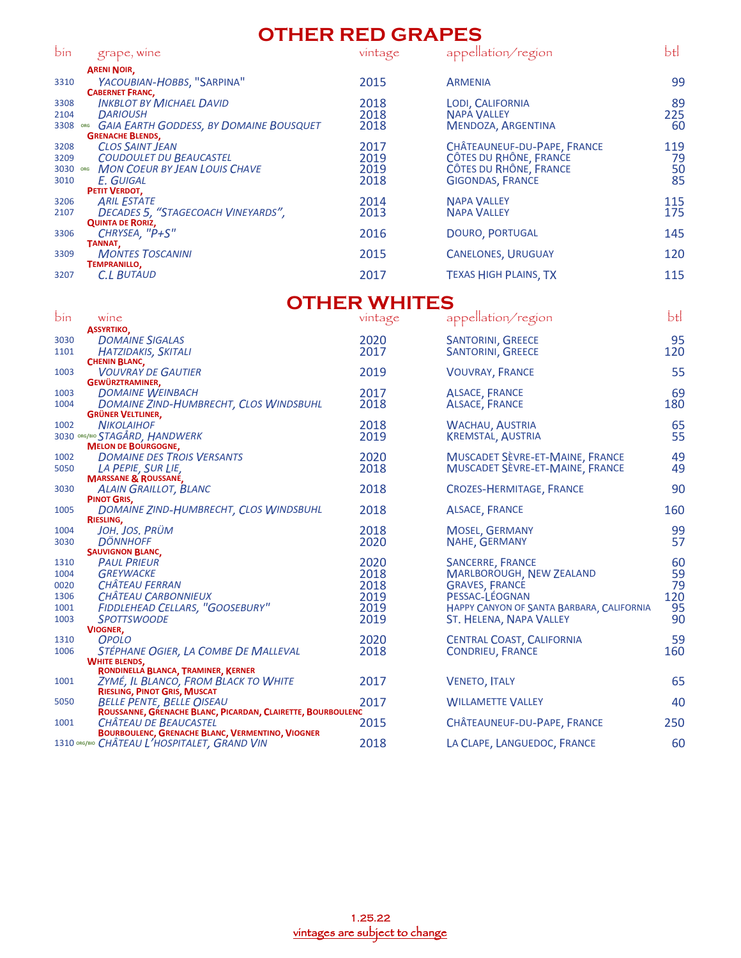#### **OTHER RED GRAPES**

| bin  | grape, wine                                 | vintage | appellation/region           | btl |
|------|---------------------------------------------|---------|------------------------------|-----|
|      | <b>ARENI NOIR,</b>                          |         |                              |     |
| 3310 | YACOUBIAN-HOBBS, "SARPINA"                  | 2015    | <b>ARMENIA</b>               | 99  |
|      | <b>CABERNET FRANC.</b>                      |         |                              |     |
| 3308 | <b>INKBLOT BY MICHAEL DAVID</b>             | 2018    | <b>LODI, CALIFORNIA</b>      | 89  |
| 2104 | <b>DARIOUSH</b>                             | 2018    | <b>NAPA VALLEY</b>           | 225 |
| 3308 | ORG GAIA EARTH GODDESS, BY DOMAINE BOUSQUET | 2018    | MENDOZA, ARGENTINA           | 60  |
|      | <b>GRENACHE BLENDS.</b>                     |         |                              |     |
| 3208 | <b>CLOS SAINT JEAN</b>                      | 2017    | CHÂTEAUNEUF-DU-PAPE, FRANCE  | 119 |
| 3209 | <b>COUDOULET DU BEAUCASTEL</b>              | 2019    | CÔTES DU RHÔNE, FRANCE       | 79  |
|      | 3030 ORG MON COEUR BY JEAN LOUIS CHAVE      | 2019    | CÔTES DU RHÔNE, FRANCE       | 50  |
| 3010 | <b>F. GUIGAL</b>                            | 2018    | <b>GIGONDAS, FRANCE</b>      | 85  |
|      | PETIT VERDOT,                               |         |                              |     |
| 3206 | <b>ARIL ESTATE</b>                          | 2014    | <b>NAPA VALLEY</b>           | 115 |
| 2107 | DECADES 5, "STAGECOACH VINEYARDS",          | 2013    | <b>NAPA VALLEY</b>           | 175 |
|      | <b>QUINTA DE RORIZ,</b>                     |         |                              |     |
| 3306 | CHRYSEA, "P+S"                              | 2016    | <b>DOURO, PORTUGAL</b>       | 145 |
|      | TANNAT.                                     |         |                              |     |
| 3309 | <b>MONTES TOSCANINI</b>                     | 2015    | <b>CANELONES, URUGUAY</b>    | 120 |
|      | <b>TEMPRANILLO,</b>                         |         |                              |     |
| 3207 | <b>C.L BUTAUD</b>                           | 2017    | <b>TEXAS HIGH PLAINS, TX</b> | 115 |
|      |                                             |         |                              |     |
|      |                                             |         |                              |     |

### **OTHER WHITES**

|      |                                                              | UTHEIN YYTHTEU |                                           |     |
|------|--------------------------------------------------------------|----------------|-------------------------------------------|-----|
| bin  | wine                                                         | vintage        | appellation/region                        | btl |
|      | <b>ASSYRTIKO,</b>                                            |                |                                           |     |
| 3030 | <b>DOMAINE SIGALAS</b>                                       | 2020           | <b>SANTORINI, GREECE</b>                  | 95  |
| 1101 | HATZIDAKIS, SKITALI                                          | 2017           | <b>SANTORINI, GREECE</b>                  | 120 |
|      | <b>CHENIN BLANC,</b>                                         |                |                                           |     |
| 1003 | <b>VOUVRAY DE GAUTIER</b>                                    | 2019           | <b>VOUVRAY, FRANCE</b>                    | 55  |
|      | GEWÜRZTRAMINER,                                              |                |                                           |     |
| 1003 | <b>DOMAINE WEINBACH</b>                                      | 2017           | <b>ALSACE, FRANCE</b>                     | 69  |
| 1004 | DOMAINE ZIND-HUMBRECHT, CLOS WINDSBUHL                       | 2018           | <b>ALSACE, FRANCE</b>                     | 180 |
|      | <b>GRÜNER VELTLINER,</b>                                     |                |                                           |     |
| 1002 | <b>NIKOLAIHOF</b>                                            | 2018           | <b>WACHAU, AUSTRIA</b>                    | 65  |
|      | 3030 ORG/BIO STAGÅRD, HANDWERK<br><b>MELON DE BOURGOGNE,</b> | 2019           | <b>KREMSTAL, AUSTRIA</b>                  | 55  |
| 1002 | <b>DOMAINE DES TROIS VERSANTS</b>                            | 2020           | MUSCADET SÈVRE-ET-MAINE, FRANCE           | 49  |
| 5050 | LA PEPIE, SUR LIE,                                           | 2018           | MUSCADET SÈVRE-ET-MAINE, FRANCE           | 49  |
|      | <b>MARSSANE &amp; ROUSSANE,</b>                              |                |                                           |     |
| 3030 | <b>ALAIN GRAILLOT, BLANC</b>                                 | 2018           | <b>CROZES-HERMITAGE, FRANCE</b>           | 90  |
|      | PINOT GRIS,                                                  |                |                                           |     |
| 1005 | DOMAINE ZIND-HUMBRECHT, CLOS WINDSBUHL                       | 2018           | <b>ALSACE, FRANCE</b>                     | 160 |
|      | RIESLING,                                                    |                |                                           |     |
| 1004 | JOH, JOS, PRÜM                                               | 2018           | <b>MOSEL, GERMANY</b>                     | 99  |
| 3030 | <b>DÖNNHOFF</b>                                              | 2020           | NAHE, GERMANY                             | 57  |
|      | <b>SAUVIGNON BLANC,</b>                                      |                |                                           |     |
| 1310 | <b>PAUL PRIEUR</b>                                           | 2020           | <b>SANCERRE, FRANCE</b>                   | 60  |
| 1004 | <b>GREYWACKE</b>                                             | 2018           | <b>MARLBOROUGH, NEW ZEALAND</b>           | 59  |
| 0020 | <b>CHÂTEAU FERRAN</b>                                        | 2018           | <b>GRAVES, FRANCE</b>                     | 79  |
| 1306 | <b>CHÂTEAU CARBONNIEUX</b>                                   | 2019           | PESSAC-LÉOGNAN                            | 120 |
| 1001 | FIDDLEHEAD CELLARS, "GOOSEBURY"                              | 2019           | HAPPY CANYON OF SANTA BARBARA, CALIFORNIA | 95  |
| 1003 | <b>SPOTTSWOODE</b>                                           | 2019           | ST. HELENA, NAPA VALLEY                   | 90  |
|      | <b>VIOGNER,</b>                                              |                |                                           |     |
| 1310 | <b>OPOLO</b>                                                 | 2020           | CENTRAL COAST, CALIFORNIA                 | 59  |
| 1006 | STÉPHANE OGIER, LA COMBE DE MALLEVAL                         | 2018           | <b>CONDRIEU, FRANCE</b>                   | 160 |
|      | <b>WHITE BLENDS,</b><br>RONDINELLA BLANCA, TRAMINER, KERNER  |                |                                           |     |
| 1001 | ZYME, IL BLANCO, FROM BLACK TO WHITE                         | 2017           | <b>VENETO, ITALY</b>                      | 65  |
|      | <b>RIESLING, PINOT GRIS, MUSCAT</b>                          |                |                                           |     |
| 5050 | <b>BELLE PENTE, BELLE OISEAU</b>                             | 2017           | <b>WILLAMETTE VALLEY</b>                  | 40  |
|      | ROUSSANNE, GRENACHE BLANC, PICARDAN, CLAIRETTE, BOURBOULENC  |                |                                           |     |
| 1001 | CHATEAU DE BEAUCASTEL                                        | 2015           | CHÂTEAUNEUF-DU-PAPE, FRANCE               | 250 |
|      | <b>BOURBOULENC, GRENACHE BLANC, VERMENTINO, VIOGNER</b>      |                |                                           |     |
|      | 1310 ORG/BIO CHÂTEAU L'HOSPITALET, GRAND VIN                 | 2018           | LA CLAPE, LANGUEDOC, FRANCE               | 60  |
|      |                                                              |                |                                           |     |